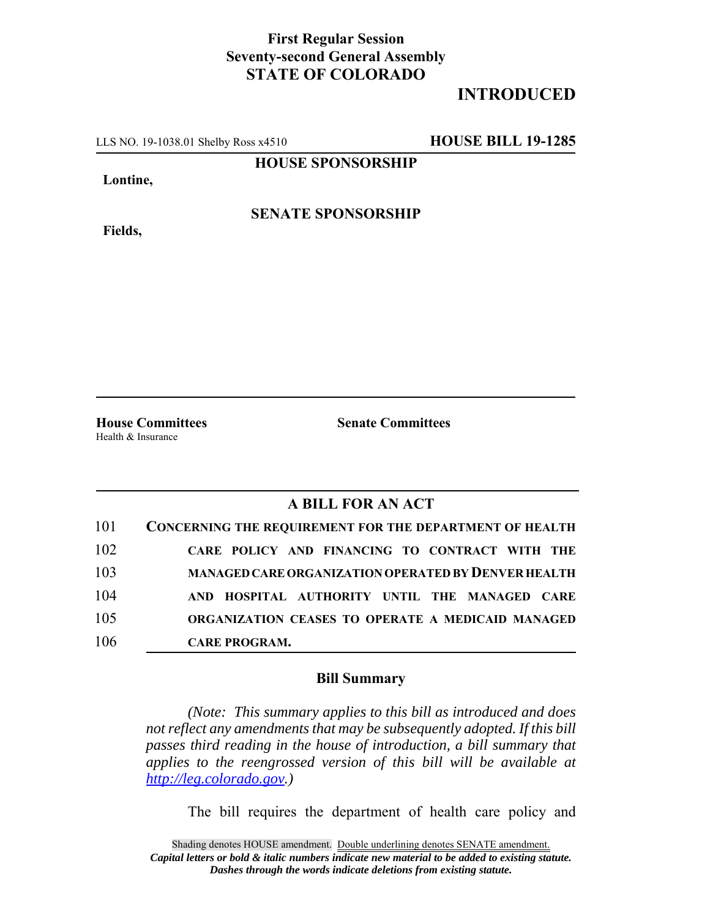## **First Regular Session Seventy-second General Assembly STATE OF COLORADO**

## **INTRODUCED**

LLS NO. 19-1038.01 Shelby Ross x4510 **HOUSE BILL 19-1285**

**HOUSE SPONSORSHIP**

**Lontine,**

**SENATE SPONSORSHIP**

**Fields,**

Health & Insurance

**House Committees Senate Committees**

## **A BILL FOR AN ACT**

| 101 | <b>CONCERNING THE REQUIREMENT FOR THE DEPARTMENT OF HEALTH</b> |
|-----|----------------------------------------------------------------|
| 102 | CARE POLICY AND FINANCING TO CONTRACT WITH THE                 |
| 103 | <b>MANAGED CARE ORGANIZATION OPERATED BY DENVER HEALTH</b>     |
| 104 | AND HOSPITAL AUTHORITY UNTIL THE MANAGED CARE                  |
| 105 | ORGANIZATION CEASES TO OPERATE A MEDICAID MANAGED              |
| 106 | <b>CARE PROGRAM.</b>                                           |

## **Bill Summary**

*(Note: This summary applies to this bill as introduced and does not reflect any amendments that may be subsequently adopted. If this bill passes third reading in the house of introduction, a bill summary that applies to the reengrossed version of this bill will be available at http://leg.colorado.gov.)*

The bill requires the department of health care policy and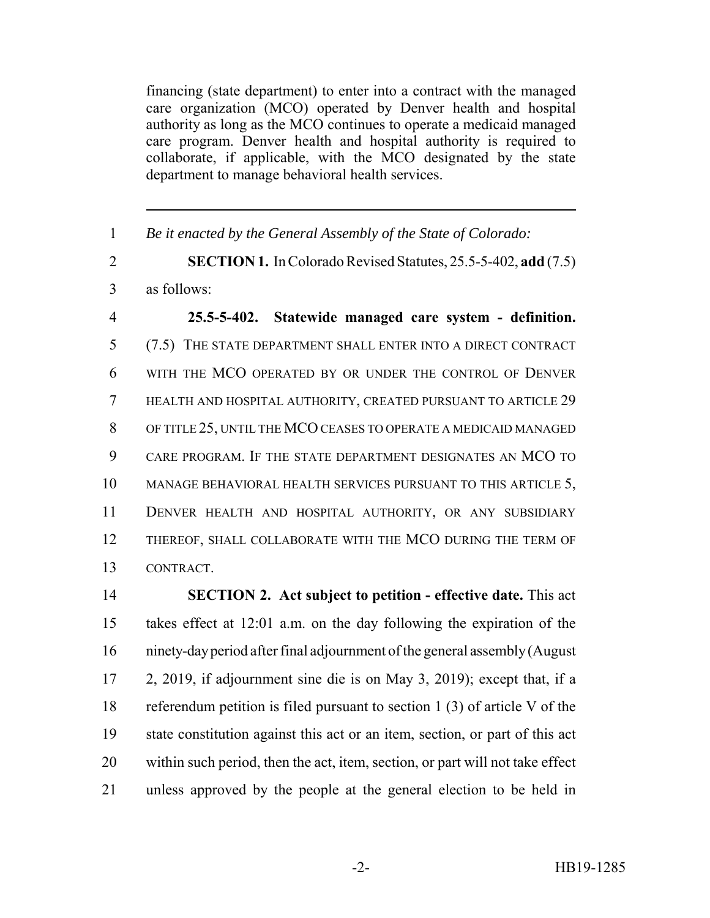financing (state department) to enter into a contract with the managed care organization (MCO) operated by Denver health and hospital authority as long as the MCO continues to operate a medicaid managed care program. Denver health and hospital authority is required to collaborate, if applicable, with the MCO designated by the state department to manage behavioral health services.

*Be it enacted by the General Assembly of the State of Colorado:*

 **SECTION 1.** In Colorado Revised Statutes, 25.5-5-402, **add** (7.5) as follows:

 **25.5-5-402. Statewide managed care system - definition.** (7.5) THE STATE DEPARTMENT SHALL ENTER INTO A DIRECT CONTRACT WITH THE MCO OPERATED BY OR UNDER THE CONTROL OF DENVER HEALTH AND HOSPITAL AUTHORITY, CREATED PURSUANT TO ARTICLE 29 OF TITLE 25, UNTIL THE MCO CEASES TO OPERATE A MEDICAID MANAGED CARE PROGRAM. IF THE STATE DEPARTMENT DESIGNATES AN MCO TO MANAGE BEHAVIORAL HEALTH SERVICES PURSUANT TO THIS ARTICLE 5, DENVER HEALTH AND HOSPITAL AUTHORITY, OR ANY SUBSIDIARY THEREOF, SHALL COLLABORATE WITH THE MCO DURING THE TERM OF CONTRACT.

 **SECTION 2. Act subject to petition - effective date.** This act takes effect at 12:01 a.m. on the day following the expiration of the ninety-day period after final adjournment of the general assembly (August 2, 2019, if adjournment sine die is on May 3, 2019); except that, if a referendum petition is filed pursuant to section 1 (3) of article V of the state constitution against this act or an item, section, or part of this act within such period, then the act, item, section, or part will not take effect unless approved by the people at the general election to be held in